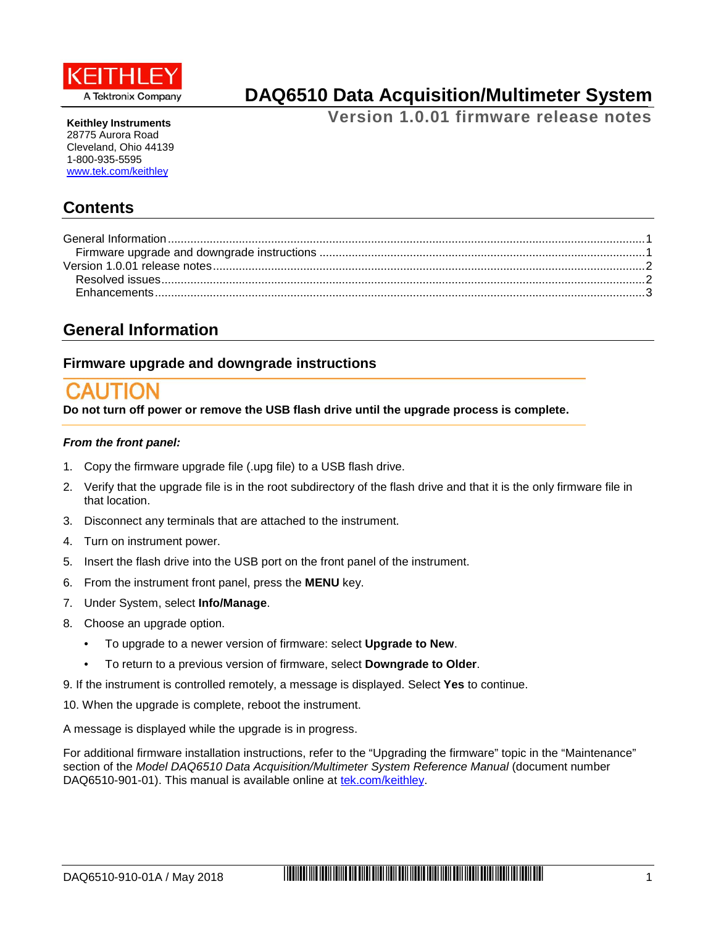

**DAQ6510 Data Acquisition/Multimeter System**

**Version 1.0.01 firmware release notes**

**Keithley Instruments** 28775 Aurora Road Cleveland, Ohio 44139 1-800-935-5595 [www.tek.com/keithley](http://www.tek.com/keithley)

# **Contents**

## <span id="page-0-0"></span>**General Information**

## <span id="page-0-1"></span>**Firmware upgrade and downgrade instructions**

**Do not turn off power or remove the USB flash drive until the upgrade process is complete.**

#### *From the front panel:*

- 1. Copy the firmware upgrade file (.upg file) to a USB flash drive.
- 2. Verify that the upgrade file is in the root subdirectory of the flash drive and that it is the only firmware file in that location.
- 3. Disconnect any terminals that are attached to the instrument.
- 4. Turn on instrument power.
- 5. Insert the flash drive into the USB port on the front panel of the instrument.
- 6. From the instrument front panel, press the **MENU** key.
- 7. Under System, select **Info/Manage**.
- 8. Choose an upgrade option.
	- To upgrade to a newer version of firmware: select **Upgrade to New**.
	- To return to a previous version of firmware, select **Downgrade to Older**.
- 9. If the instrument is controlled remotely, a message is displayed. Select **Yes** to continue.
- 10. When the upgrade is complete, reboot the instrument.

A message is displayed while the upgrade is in progress.

For additional firmware installation instructions, refer to the "Upgrading the firmware" topic in the "Maintenance" section of the *Model DAQ6510 Data Acquisition/Multimeter System Reference Manual* (document number DAQ6510-901-01). This manual is available online at [tek.com/keithley.](https://www.tek.com/keithley)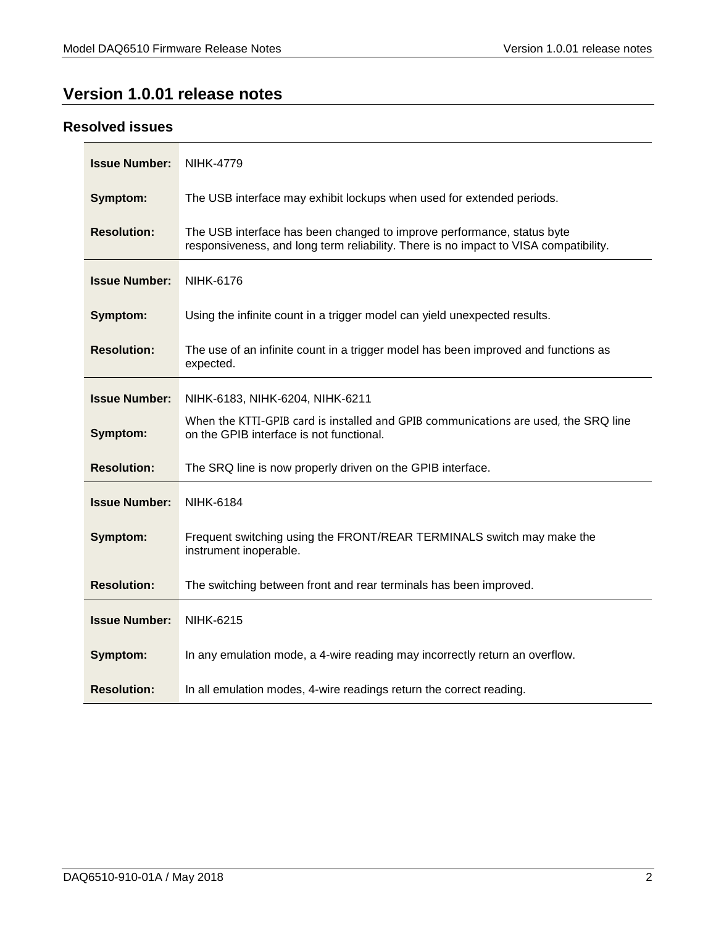# <span id="page-1-0"></span>**Version 1.0.01 release notes**

### <span id="page-1-1"></span>**Resolved issues**

| <b>Issue Number:</b> | <b>NIHK-4779</b>                                                                                                                                               |
|----------------------|----------------------------------------------------------------------------------------------------------------------------------------------------------------|
| Symptom:             | The USB interface may exhibit lockups when used for extended periods.                                                                                          |
| <b>Resolution:</b>   | The USB interface has been changed to improve performance, status byte<br>responsiveness, and long term reliability. There is no impact to VISA compatibility. |
| <b>Issue Number:</b> | <b>NIHK-6176</b>                                                                                                                                               |
| Symptom:             | Using the infinite count in a trigger model can yield unexpected results.                                                                                      |
| <b>Resolution:</b>   | The use of an infinite count in a trigger model has been improved and functions as<br>expected.                                                                |
| <b>Issue Number:</b> | NIHK-6183, NIHK-6204, NIHK-6211                                                                                                                                |
| Symptom:             | When the KTTI-GPIB card is installed and GPIB communications are used, the SRQ line<br>on the GPIB interface is not functional.                                |
| <b>Resolution:</b>   | The SRQ line is now properly driven on the GPIB interface.                                                                                                     |
| <b>Issue Number:</b> | <b>NIHK-6184</b>                                                                                                                                               |
| Symptom:             | Frequent switching using the FRONT/REAR TERMINALS switch may make the<br>instrument inoperable.                                                                |
| <b>Resolution:</b>   | The switching between front and rear terminals has been improved.                                                                                              |
| <b>Issue Number:</b> | <b>NIHK-6215</b>                                                                                                                                               |
| Symptom:             | In any emulation mode, a 4-wire reading may incorrectly return an overflow.                                                                                    |
| <b>Resolution:</b>   | In all emulation modes, 4-wire readings return the correct reading.                                                                                            |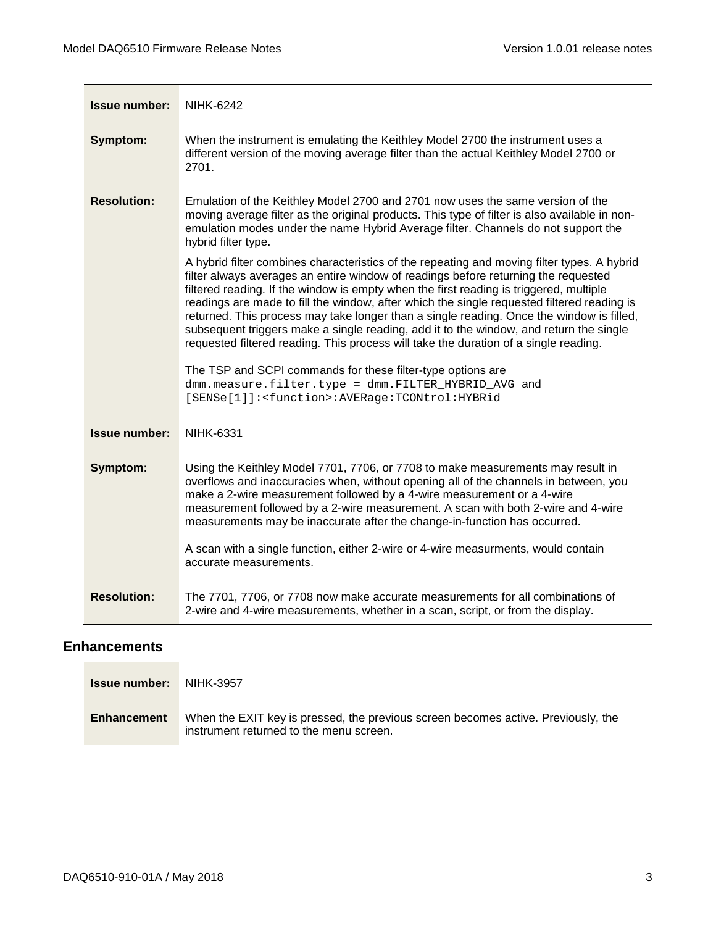| <b>Issue number:</b> | <b>NIHK-6242</b>                                                                                                                                                                                                                                                                                                                                                                                                                                                                                                                                                                                                                                        |
|----------------------|---------------------------------------------------------------------------------------------------------------------------------------------------------------------------------------------------------------------------------------------------------------------------------------------------------------------------------------------------------------------------------------------------------------------------------------------------------------------------------------------------------------------------------------------------------------------------------------------------------------------------------------------------------|
| Symptom:             | When the instrument is emulating the Keithley Model 2700 the instrument uses a<br>different version of the moving average filter than the actual Keithley Model 2700 or<br>2701.                                                                                                                                                                                                                                                                                                                                                                                                                                                                        |
| <b>Resolution:</b>   | Emulation of the Keithley Model 2700 and 2701 now uses the same version of the<br>moving average filter as the original products. This type of filter is also available in non-<br>emulation modes under the name Hybrid Average filter. Channels do not support the<br>hybrid filter type.                                                                                                                                                                                                                                                                                                                                                             |
|                      | A hybrid filter combines characteristics of the repeating and moving filter types. A hybrid<br>filter always averages an entire window of readings before returning the requested<br>filtered reading. If the window is empty when the first reading is triggered, multiple<br>readings are made to fill the window, after which the single requested filtered reading is<br>returned. This process may take longer than a single reading. Once the window is filled,<br>subsequent triggers make a single reading, add it to the window, and return the single<br>requested filtered reading. This process will take the duration of a single reading. |
|                      | The TSP and SCPI commands for these filter-type options are<br>dmm.measure.filter.type = dmm.FILTER_HYBRID_AVG and<br>[SENSe[1]]: <function>:AVERage:TCONtrol:HYBRid</function>                                                                                                                                                                                                                                                                                                                                                                                                                                                                         |
| <b>Issue number:</b> | <b>NIHK-6331</b>                                                                                                                                                                                                                                                                                                                                                                                                                                                                                                                                                                                                                                        |
| Symptom:             | Using the Keithley Model 7701, 7706, or 7708 to make measurements may result in<br>overflows and inaccuracies when, without opening all of the channels in between, you<br>make a 2-wire measurement followed by a 4-wire measurement or a 4-wire<br>measurement followed by a 2-wire measurement. A scan with both 2-wire and 4-wire<br>measurements may be inaccurate after the change-in-function has occurred.                                                                                                                                                                                                                                      |
|                      | A scan with a single function, either 2-wire or 4-wire measurments, would contain<br>accurate measurements.                                                                                                                                                                                                                                                                                                                                                                                                                                                                                                                                             |
| <b>Resolution:</b>   | The 7701, 7706, or 7708 now make accurate measurements for all combinations of<br>2-wire and 4-wire measurements, whether in a scan, script, or from the display.                                                                                                                                                                                                                                                                                                                                                                                                                                                                                       |

## <span id="page-2-0"></span>**Enhancements**

| <b>Issue number:</b> NIHK-3957 |                                                                                                                              |
|--------------------------------|------------------------------------------------------------------------------------------------------------------------------|
| Enhancement                    | When the EXIT key is pressed, the previous screen becomes active. Previously, the<br>instrument returned to the menu screen. |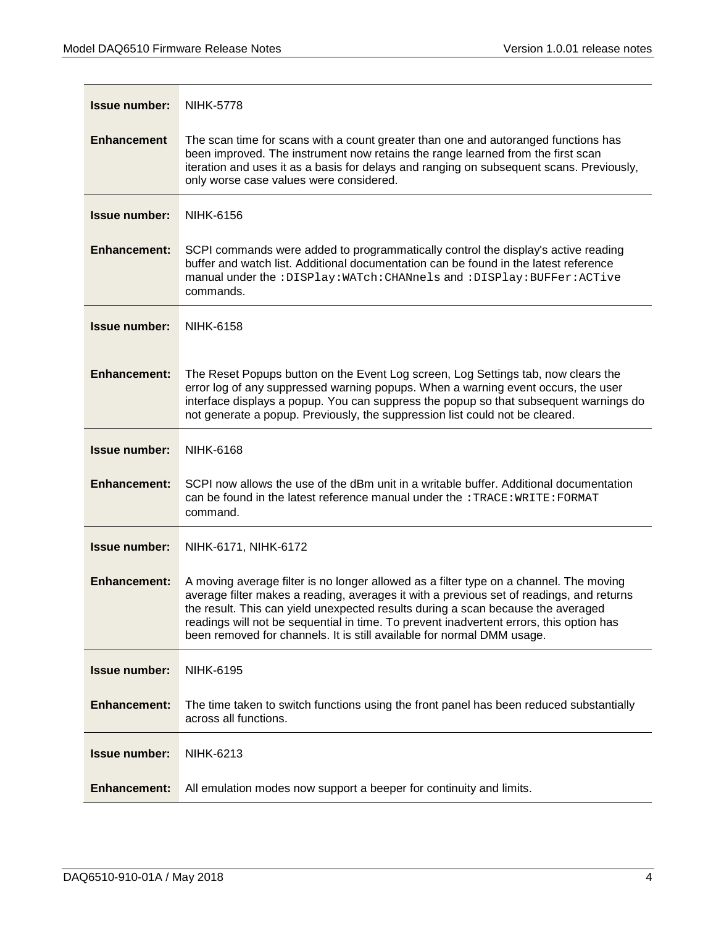| <b>Issue number:</b> | <b>NIHK-5778</b>                                                                                                                                                                                                                                                                                                                                                                                                                            |
|----------------------|---------------------------------------------------------------------------------------------------------------------------------------------------------------------------------------------------------------------------------------------------------------------------------------------------------------------------------------------------------------------------------------------------------------------------------------------|
| <b>Enhancement</b>   | The scan time for scans with a count greater than one and autoranged functions has<br>been improved. The instrument now retains the range learned from the first scan<br>iteration and uses it as a basis for delays and ranging on subsequent scans. Previously,<br>only worse case values were considered.                                                                                                                                |
| <b>Issue number:</b> | <b>NIHK-6156</b>                                                                                                                                                                                                                                                                                                                                                                                                                            |
| <b>Enhancement:</b>  | SCPI commands were added to programmatically control the display's active reading<br>buffer and watch list. Additional documentation can be found in the latest reference<br>manual under the: DISPlay: WATch: CHANnels and: DISPlay: BUFFer: ACTive<br>commands.                                                                                                                                                                           |
| <b>Issue number:</b> | <b>NIHK-6158</b>                                                                                                                                                                                                                                                                                                                                                                                                                            |
| <b>Enhancement:</b>  | The Reset Popups button on the Event Log screen, Log Settings tab, now clears the<br>error log of any suppressed warning popups. When a warning event occurs, the user<br>interface displays a popup. You can suppress the popup so that subsequent warnings do<br>not generate a popup. Previously, the suppression list could not be cleared.                                                                                             |
| <b>Issue number:</b> | <b>NIHK-6168</b>                                                                                                                                                                                                                                                                                                                                                                                                                            |
| <b>Enhancement:</b>  | SCPI now allows the use of the dBm unit in a writable buffer. Additional documentation<br>can be found in the latest reference manual under the : TRACE: WRITE: FORMAT<br>command.                                                                                                                                                                                                                                                          |
| <b>Issue number:</b> | NIHK-6171, NIHK-6172                                                                                                                                                                                                                                                                                                                                                                                                                        |
| <b>Enhancement:</b>  | A moving average filter is no longer allowed as a filter type on a channel. The moving<br>average filter makes a reading, averages it with a previous set of readings, and returns<br>the result. This can yield unexpected results during a scan because the averaged<br>readings will not be sequential in time. To prevent inadvertent errors, this option has<br>been removed for channels. It is still available for normal DMM usage. |
| <b>Issue number:</b> | <b>NIHK-6195</b>                                                                                                                                                                                                                                                                                                                                                                                                                            |
| <b>Enhancement:</b>  | The time taken to switch functions using the front panel has been reduced substantially<br>across all functions.                                                                                                                                                                                                                                                                                                                            |
| <b>Issue number:</b> | <b>NIHK-6213</b>                                                                                                                                                                                                                                                                                                                                                                                                                            |
| <b>Enhancement:</b>  | All emulation modes now support a beeper for continuity and limits.                                                                                                                                                                                                                                                                                                                                                                         |